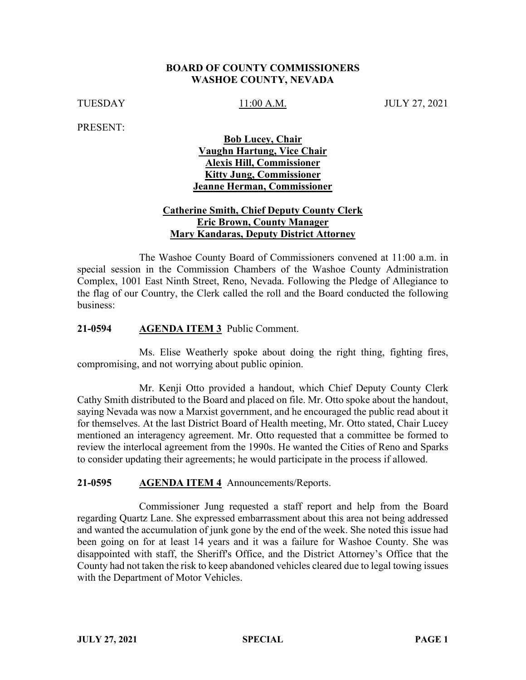## **BOARD OF COUNTY COMMISSIONERS WASHOE COUNTY, NEVADA**

TUESDAY 11:00 A.M. JULY 27, 2021

PRESENT:

**Bob Lucey, Chair Vaughn Hartung, Vice Chair Alexis Hill, Commissioner Kitty Jung, Commissioner Jeanne Herman, Commissioner**

# **Catherine Smith, Chief Deputy County Clerk Eric Brown, County Manager Mary Kandaras, Deputy District Attorney**

The Washoe County Board of Commissioners convened at 11:00 a.m. in special session in the Commission Chambers of the Washoe County Administration Complex, 1001 East Ninth Street, Reno, Nevada. Following the Pledge of Allegiance to the flag of our Country, the Clerk called the roll and the Board conducted the following business:

## **21-0594 AGENDA ITEM 3** Public Comment.

Ms. Elise Weatherly spoke about doing the right thing, fighting fires, compromising, and not worrying about public opinion.

Mr. Kenji Otto provided a handout, which Chief Deputy County Clerk Cathy Smith distributed to the Board and placed on file. Mr. Otto spoke about the handout, saying Nevada was now a Marxist government, and he encouraged the public read about it for themselves. At the last District Board of Health meeting, Mr. Otto stated, Chair Lucey mentioned an interagency agreement. Mr. Otto requested that a committee be formed to review the interlocal agreement from the 1990s. He wanted the Cities of Reno and Sparks to consider updating their agreements; he would participate in the process if allowed.

### **21-0595 AGENDA ITEM 4** Announcements/Reports.

Commissioner Jung requested a staff report and help from the Board regarding Quartz Lane. She expressed embarrassment about this area not being addressed and wanted the accumulation of junk gone by the end of the week. She noted this issue had been going on for at least 14 years and it was a failure for Washoe County. She was disappointed with staff, the Sheriff's Office, and the District Attorney's Office that the County had not taken the risk to keep abandoned vehicles cleared due to legal towing issues with the Department of Motor Vehicles.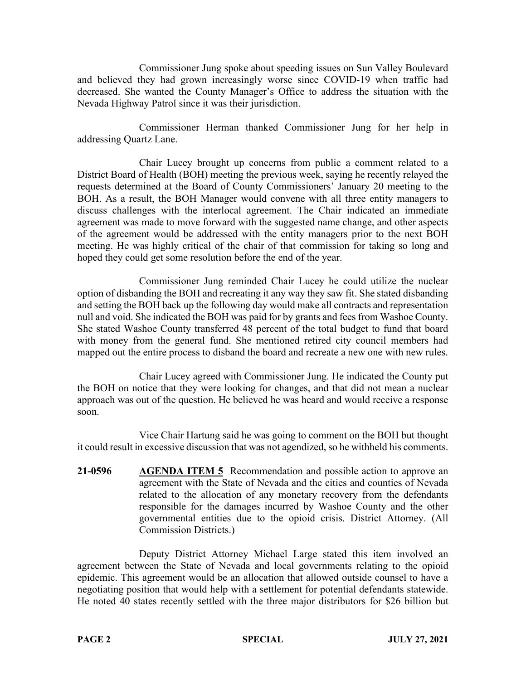Commissioner Jung spoke about speeding issues on Sun Valley Boulevard and believed they had grown increasingly worse since COVID-19 when traffic had decreased. She wanted the County Manager's Office to address the situation with the Nevada Highway Patrol since it was their jurisdiction.

Commissioner Herman thanked Commissioner Jung for her help in addressing Quartz Lane.

Chair Lucey brought up concerns from public a comment related to a District Board of Health (BOH) meeting the previous week, saying he recently relayed the requests determined at the Board of County Commissioners' January 20 meeting to the BOH. As a result, the BOH Manager would convene with all three entity managers to discuss challenges with the interlocal agreement. The Chair indicated an immediate agreement was made to move forward with the suggested name change, and other aspects of the agreement would be addressed with the entity managers prior to the next BOH meeting. He was highly critical of the chair of that commission for taking so long and hoped they could get some resolution before the end of the year.

Commissioner Jung reminded Chair Lucey he could utilize the nuclear option of disbanding the BOH and recreating it any way they saw fit. She stated disbanding and setting the BOH back up the following day would make all contracts and representation null and void. She indicated the BOH was paid for by grants and fees from Washoe County. She stated Washoe County transferred 48 percent of the total budget to fund that board with money from the general fund. She mentioned retired city council members had mapped out the entire process to disband the board and recreate a new one with new rules.

Chair Lucey agreed with Commissioner Jung. He indicated the County put the BOH on notice that they were looking for changes, and that did not mean a nuclear approach was out of the question. He believed he was heard and would receive a response soon.

Vice Chair Hartung said he was going to comment on the BOH but thought it could result in excessive discussion that was not agendized, so he withheld his comments.

**21-0596 AGENDA ITEM 5** Recommendation and possible action to approve an agreement with the State of Nevada and the cities and counties of Nevada related to the allocation of any monetary recovery from the defendants responsible for the damages incurred by Washoe County and the other governmental entities due to the opioid crisis. District Attorney. (All Commission Districts.)

Deputy District Attorney Michael Large stated this item involved an agreement between the State of Nevada and local governments relating to the opioid epidemic. This agreement would be an allocation that allowed outside counsel to have a negotiating position that would help with a settlement for potential defendants statewide. He noted 40 states recently settled with the three major distributors for \$26 billion but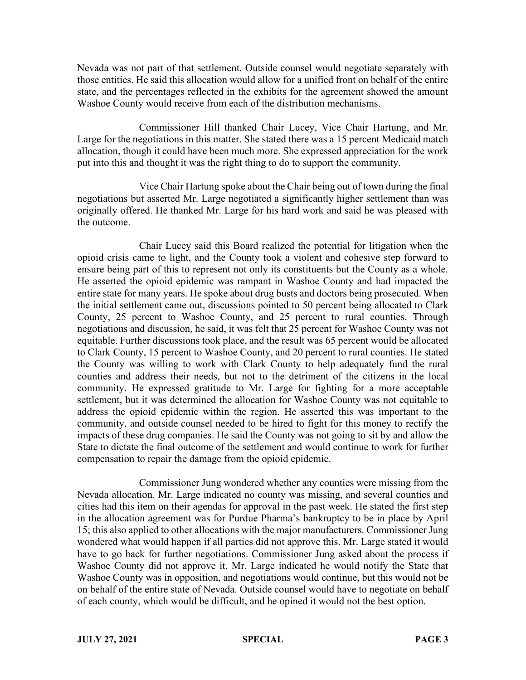Nevada was not part of that settlement. Outside counsel would negotiate separately with those entities. He said this allocation would allow for a unified front on behalf of the entire state, and the percentages reflected in the exhibits for the agreement showed the amount Washoe County would receive from each of the distribution mechanisms.

Commissioner Hill thanked Chair Lucey, Vice Chair Hartung, and Mr. Large for the negotiations in this matter. She stated there was a 15 percent Medicaid match allocation, though it could have been much more. She expressed appreciation for the work put into this and thought it was the right thing to do to support the community.

Vice Chair Hartung spoke about the Chair being out of town during the final negotiations but asserted Mr. Large negotiated a significantly higher settlement than was originally offered. He thanked Mr. Large for his hard work and said he was pleased with the outcome.

Chair Lucey said this Board realized the potential for litigation when the opioid crisis came to light, and the County took a violent and cohesive step forward to ensure being part of this to represent not only its constituents but the County as a whole. He asserted the opioid epidemic was rampant in Washoe County and had impacted the entire state for many years. He spoke about drug busts and doctors being prosecuted. When the initial settlement came out, discussions pointed to 50 percent being allocated to Clark County, 25 percent to Washoe County, and 25 percent to rural counties. Through negotiations and discussion, he said, it was felt that 25 percent for Washoe County was not equitable. Further discussions took place, and the result was 65 percent would be allocated to Clark County, 15 percent to Washoe County, and 20 percent to rural counties. He stated the County was willing to work with Clark County to help adequately fund the rural counties and address their needs, but not to the detriment of the citizens in the local community. He expressed gratitude to Mr. Large for fighting for a more acceptable settlement, but it was determined the allocation for Washoe County was not equitable to address the opioid epidemic within the region. He asserted this was important to the community, and outside counsel needed to be hired to fight for this money to rectify the impacts of these drug companies. He said the County was not going to sit by and allow the State to dictate the final outcome of the settlement and would continue to work for further compensation to repair the damage from the opioid epidemic.

Commissioner Jung wondered whether any counties were missing from the Nevada allocation. Mr. Large indicated no county was missing, and several counties and cities had this item on their agendas for approval in the past week. He stated the first step in the allocation agreement was for Purdue Pharma's bankruptcy to be in place by April 15; this also applied to other allocations with the major manufacturers. Commissioner Jung wondered what would happen if all parties did not approve this. Mr. Large stated it would have to go back for further negotiations. Commissioner Jung asked about the process if Washoe County did not approve it. Mr. Large indicated he would notify the State that Washoe County was in opposition, and negotiations would continue, but this would not be on behalf of the entire state of Nevada. Outside counsel would have to negotiate on behalf of each county, which would be difficult, and he opined it would not the best option.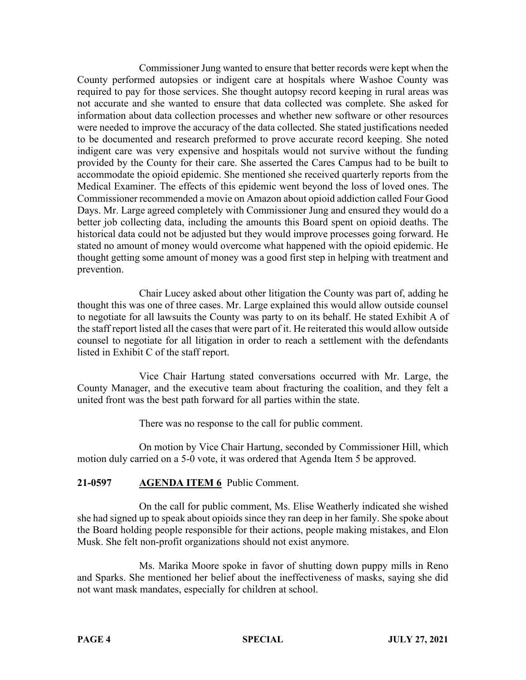Commissioner Jung wanted to ensure that better records were kept when the County performed autopsies or indigent care at hospitals where Washoe County was required to pay for those services. She thought autopsy record keeping in rural areas was not accurate and she wanted to ensure that data collected was complete. She asked for information about data collection processes and whether new software or other resources were needed to improve the accuracy of the data collected. She stated justifications needed to be documented and research preformed to prove accurate record keeping. She noted indigent care was very expensive and hospitals would not survive without the funding provided by the County for their care. She asserted the Cares Campus had to be built to accommodate the opioid epidemic. She mentioned she received quarterly reports from the Medical Examiner. The effects of this epidemic went beyond the loss of loved ones. The Commissioner recommended a movie on Amazon about opioid addiction called Four Good Days. Mr. Large agreed completely with Commissioner Jung and ensured they would do a better job collecting data, including the amounts this Board spent on opioid deaths. The historical data could not be adjusted but they would improve processes going forward. He stated no amount of money would overcome what happened with the opioid epidemic. He thought getting some amount of money was a good first step in helping with treatment and prevention.

Chair Lucey asked about other litigation the County was part of, adding he thought this was one of three cases. Mr. Large explained this would allow outside counsel to negotiate for all lawsuits the County was party to on its behalf. He stated Exhibit A of the staff report listed all the cases that were part of it. He reiterated this would allow outside counsel to negotiate for all litigation in order to reach a settlement with the defendants listed in Exhibit C of the staff report.

Vice Chair Hartung stated conversations occurred with Mr. Large, the County Manager, and the executive team about fracturing the coalition, and they felt a united front was the best path forward for all parties within the state.

There was no response to the call for public comment.

On motion by Vice Chair Hartung, seconded by Commissioner Hill, which motion duly carried on a 5-0 vote, it was ordered that Agenda Item 5 be approved.

# **21-0597 AGENDA ITEM 6** Public Comment.

On the call for public comment, Ms. Elise Weatherly indicated she wished she had signed up to speak about opioids since they ran deep in her family. She spoke about the Board holding people responsible for their actions, people making mistakes, and Elon Musk. She felt non-profit organizations should not exist anymore.

Ms. Marika Moore spoke in favor of shutting down puppy mills in Reno and Sparks. She mentioned her belief about the ineffectiveness of masks, saying she did not want mask mandates, especially for children at school.